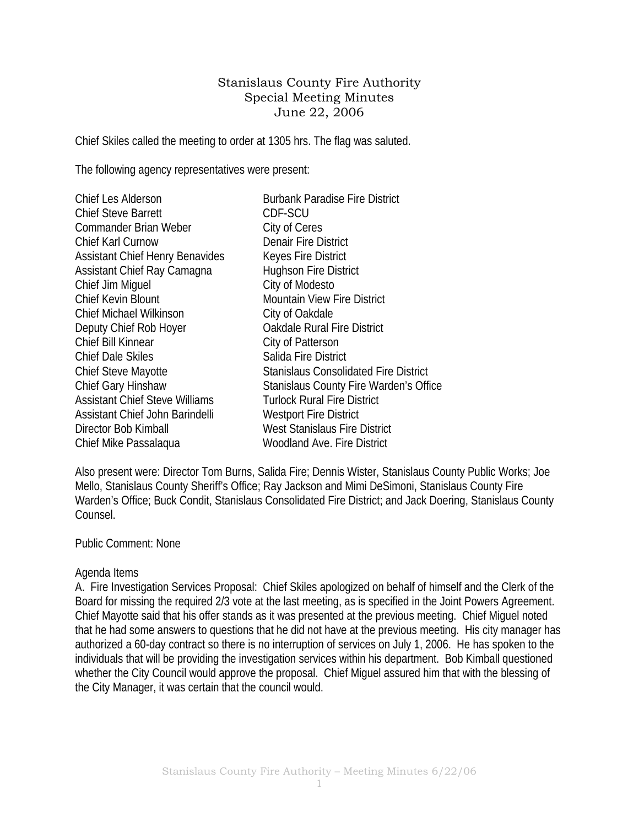## Stanislaus County Fire Authority Special Meeting Minutes June 22, 2006

Chief Skiles called the meeting to order at 1305 hrs. The flag was saluted.

The following agency representatives were present:

| <b>Chief Les Alderson</b>              | <b>Burbank Paradise Fire District</b>        |
|----------------------------------------|----------------------------------------------|
| <b>Chief Steve Barrett</b>             | CDF-SCU                                      |
| <b>Commander Brian Weber</b>           | City of Ceres                                |
| <b>Chief Karl Curnow</b>               | <b>Denair Fire District</b>                  |
| <b>Assistant Chief Henry Benavides</b> | <b>Keyes Fire District</b>                   |
| Assistant Chief Ray Camagna            | <b>Hughson Fire District</b>                 |
| Chief Jim Miguel                       | City of Modesto                              |
| <b>Chief Kevin Blount</b>              | <b>Mountain View Fire District</b>           |
| <b>Chief Michael Wilkinson</b>         | City of Oakdale                              |
| Deputy Chief Rob Hoyer                 | <b>Oakdale Rural Fire District</b>           |
| Chief Bill Kinnear                     | City of Patterson                            |
| <b>Chief Dale Skiles</b>               | Salida Fire District                         |
| <b>Chief Steve Mayotte</b>             | <b>Stanislaus Consolidated Fire District</b> |
| Chief Gary Hinshaw                     | Stanislaus County Fire Warden's Office       |
| <b>Assistant Chief Steve Williams</b>  | <b>Turlock Rural Fire District</b>           |
| Assistant Chief John Barindelli        | <b>Westport Fire District</b>                |
| Director Bob Kimball                   | <b>West Stanislaus Fire District</b>         |
| Chief Mike Passalaqua                  | Woodland Ave. Fire District                  |

Also present were: Director Tom Burns, Salida Fire; Dennis Wister, Stanislaus County Public Works; Joe Mello, Stanislaus County Sheriff's Office; Ray Jackson and Mimi DeSimoni, Stanislaus County Fire Warden's Office; Buck Condit, Stanislaus Consolidated Fire District; and Jack Doering, Stanislaus County Counsel.

## Public Comment: None

## Agenda Items

A. Fire Investigation Services Proposal: Chief Skiles apologized on behalf of himself and the Clerk of the Board for missing the required 2/3 vote at the last meeting, as is specified in the Joint Powers Agreement. Chief Mayotte said that his offer stands as it was presented at the previous meeting. Chief Miguel noted that he had some answers to questions that he did not have at the previous meeting. His city manager has authorized a 60-day contract so there is no interruption of services on July 1, 2006. He has spoken to the individuals that will be providing the investigation services within his department. Bob Kimball questioned whether the City Council would approve the proposal. Chief Miguel assured him that with the blessing of the City Manager, it was certain that the council would.